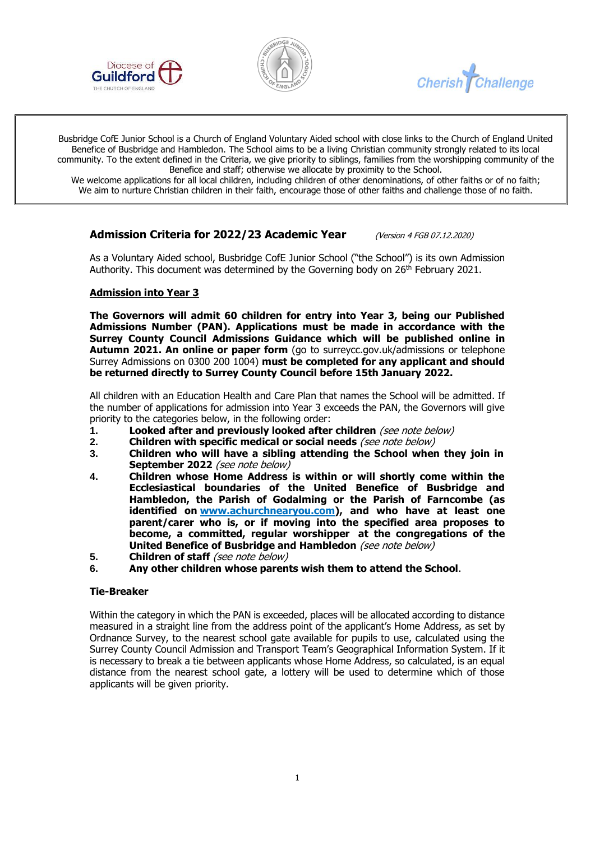





Busbridge CofE Junior School is a Church of England Voluntary Aided school with close links to the Church of England United Benefice of Busbridge and Hambledon. The School aims to be a living Christian community strongly related to its local community. To the extent defined in the Criteria, we give priority to siblings, families from the worshipping community of the Benefice and staff; otherwise we allocate by proximity to the School.

We welcome applications for all local children, including children of other denominations, of other faiths or of no faith; We aim to nurture Christian children in their faith, encourage those of other faiths and challenge those of no faith.

# **Admission Criteria for 2022/23 Academic Year** (Version 4 FGB 07.12.2020)

As a Voluntary Aided school, Busbridge CofE Junior School ("the School") is its own Admission Authority. This document was determined by the Governing body on  $26<sup>th</sup>$  February 2021.

### **Admission into Year 3**

**The Governors will admit 60 children for entry into Year 3, being our Published Admissions Number (PAN). Applications must be made in accordance with the Surrey County Council Admissions Guidance which will be published online in Autumn 2021. An online or paper form** (go to surreycc.gov.uk/admissions or telephone Surrey Admissions on 0300 200 1004) **must be completed for any applicant and should be returned directly to Surrey County Council before 15th January 2022.**

All children with an Education Health and Care Plan that names the School will be admitted. If the number of applications for admission into Year 3 exceeds the PAN, the Governors will give priority to the categories below, in the following order:

- **1. Looked after and previously looked after children** (see note below)<br>**2. Children with specific medical or social needs** (see note below)
- **2. Children with specific medical or social needs** (see note below)
- **3. Children who will have a sibling attending the School when they join in September 2022** (see note below)
- **4. Children whose Home Address is within or will shortly come within the Ecclesiastical boundaries of the United Benefice of Busbridge and Hambledon, the Parish of Godalming or the Parish of Farncombe (as identified on [www.achurchnearyou.com\)](http://www.achurchnearyou.com/), and who have at least one parent/carer who is, or if moving into the specified area proposes to become, a committed, regular worshipper at the congregations of the United Benefice of Busbridge and Hambledon** (see note below)
- **5. Children of staff** (see note below)
- **6. Any other children whose parents wish them to attend the School**.

#### **Tie-Breaker**

Within the category in which the PAN is exceeded, places will be allocated according to distance measured in a straight line from the address point of the applicant's Home Address, as set by Ordnance Survey, to the nearest school gate available for pupils to use, calculated using the Surrey County Council Admission and Transport Team's Geographical Information System. If it is necessary to break a tie between applicants whose Home Address, so calculated, is an equal distance from the nearest school gate, a lottery will be used to determine which of those applicants will be given priority.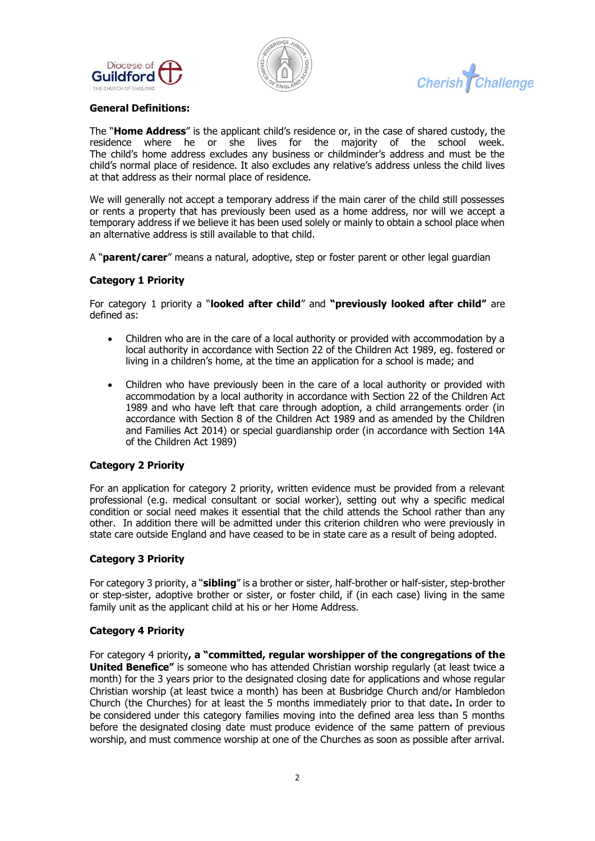





## **General Definitions:**

The "**Home Address**" is the applicant child's residence or, in the case of shared custody, the residence where he or she lives for the majority of the school week. The child's home address excludes any business or childminder's address and must be the child's normal place of residence. It also excludes any relative's address unless the child lives at that address as their normal place of residence.

We will generally not accept a temporary address if the main carer of the child still possesses or rents a property that has previously been used as a home address, nor will we accept a temporary address if we believe it has been used solely or mainly to obtain a school place when an alternative address is still available to that child.

A "**parent/carer**" means a natural, adoptive, step or foster parent or other legal guardian

### **Category 1 Priority**

For category 1 priority a "**looked after child**" and **"previously looked after child"** are defined as:

- Children who are in the care of a local authority or provided with accommodation by a local authority in accordance with Section 22 of the Children Act 1989, eg. fostered or living in a children's home, at the time an application for a school is made; and
- Children who have previously been in the care of a local authority or provided with accommodation by a local authority in accordance with Section 22 of the Children Act 1989 and who have left that care through adoption, a child arrangements order (in accordance with Section 8 of the Children Act 1989 and as amended by the Children and Families Act 2014) or special guardianship order (in accordance with Section 14A of the Children Act 1989)

### **Category 2 Priority**

For an application for category 2 priority, written evidence must be provided from a relevant professional (e.g. medical consultant or social worker), setting out why a specific medical condition or social need makes it essential that the child attends the School rather than any other. In addition there will be admitted under this criterion children who were previously in state care outside England and have ceased to be in state care as a result of being adopted.

### **Category 3 Priority**

For category 3 priority, a "**sibling**" is a brother or sister, half-brother or half-sister, step-brother or step-sister, adoptive brother or sister, or foster child, if (in each case) living in the same family unit as the applicant child at his or her Home Address.

#### **Category 4 Priority**

For category 4 priority**, a "committed, regular worshipper of the congregations of the United Benefice"** is someone who has attended Christian worship regularly (at least twice a month) for the 3 years prior to the designated closing date for applications and whose regular Christian worship (at least twice a month) has been at Busbridge Church and/or Hambledon Church (the Churches) for at least the 5 months immediately prior to that date**.** In order to be considered under this category families moving into the defined area less than 5 months before the designated closing date must produce evidence of the same pattern of previous worship, and must commence worship at one of the Churches as soon as possible after arrival.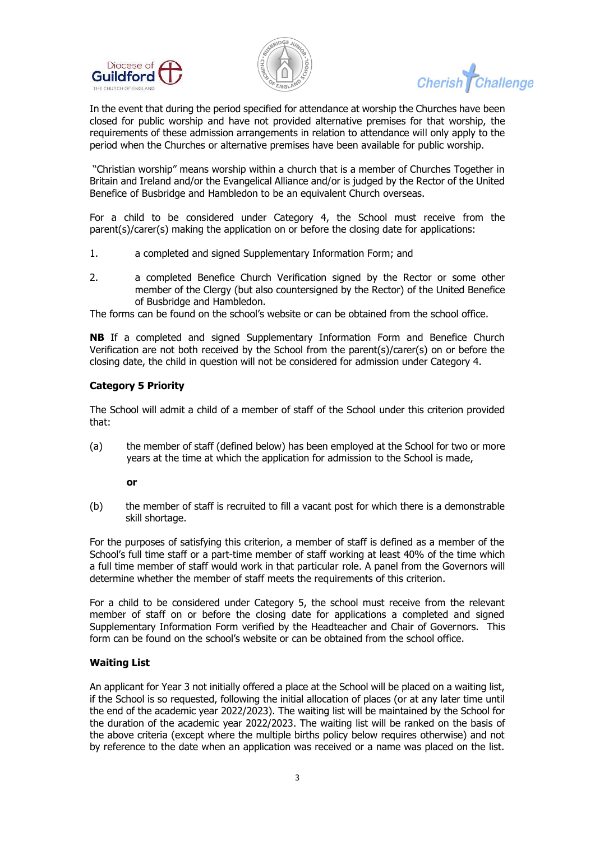



**Cherish Challenge** 

In the event that during the period specified for attendance at worship the Churches have been closed for public worship and have not provided alternative premises for that worship, the requirements of these admission arrangements in relation to attendance will only apply to the period when the Churches or alternative premises have been available for public worship.

"Christian worship" means worship within a church that is a member of Churches Together in Britain and Ireland and/or the Evangelical Alliance and/or is judged by the Rector of the United Benefice of Busbridge and Hambledon to be an equivalent Church overseas.

For a child to be considered under Category 4, the School must receive from the parent(s)/carer(s) making the application on or before the closing date for applications:

- 1. a completed and signed Supplementary Information Form; and
- 2. a completed Benefice Church Verification signed by the Rector or some other member of the Clergy (but also countersigned by the Rector) of the United Benefice of Busbridge and Hambledon.

The forms can be found on the school's website or can be obtained from the school office.

**NB** If a completed and signed Supplementary Information Form and Benefice Church Verification are not both received by the School from the parent(s)/carer(s) on or before the closing date, the child in question will not be considered for admission under Category 4.

### **Category 5 Priority**

The School will admit a child of a member of staff of the School under this criterion provided that:

(a) the member of staff (defined below) has been employed at the School for two or more years at the time at which the application for admission to the School is made,

#### **or**

(b) the member of staff is recruited to fill a vacant post for which there is a demonstrable skill shortage.

For the purposes of satisfying this criterion, a member of staff is defined as a member of the School's full time staff or a part-time member of staff working at least 40% of the time which a full time member of staff would work in that particular role. A panel from the Governors will determine whether the member of staff meets the requirements of this criterion.

For a child to be considered under Category 5, the school must receive from the relevant member of staff on or before the closing date for applications a completed and signed Supplementary Information Form verified by the Headteacher and Chair of Governors. This form can be found on the school's website or can be obtained from the school office.

### **Waiting List**

An applicant for Year 3 not initially offered a place at the School will be placed on a waiting list, if the School is so requested, following the initial allocation of places (or at any later time until the end of the academic year 2022/2023). The waiting list will be maintained by the School for the duration of the academic year 2022/2023. The waiting list will be ranked on the basis of the above criteria (except where the multiple births policy below requires otherwise) and not by reference to the date when an application was received or a name was placed on the list.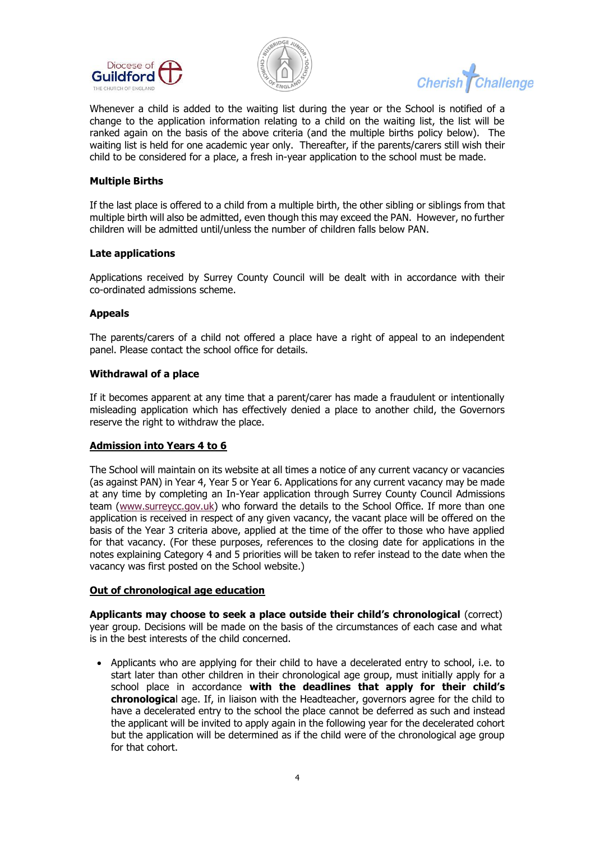



**Cherish Challenge** 

Whenever a child is added to the waiting list during the year or the School is notified of a change to the application information relating to a child on the waiting list, the list will be ranked again on the basis of the above criteria (and the multiple births policy below). The waiting list is held for one academic year only. Thereafter, if the parents/carers still wish their child to be considered for a place, a fresh in-year application to the school must be made.

### **Multiple Births**

If the last place is offered to a child from a multiple birth, the other sibling or siblings from that multiple birth will also be admitted, even though this may exceed the PAN. However, no further children will be admitted until/unless the number of children falls below PAN.

### **Late applications**

Applications received by Surrey County Council will be dealt with in accordance with their co-ordinated admissions scheme.

# **Appeals**

The parents/carers of a child not offered a place have a right of appeal to an independent panel. Please contact the school office for details.

### **Withdrawal of a place**

If it becomes apparent at any time that a parent/carer has made a fraudulent or intentionally misleading application which has effectively denied a place to another child, the Governors reserve the right to withdraw the place.

### **Admission into Years 4 to 6**

The School will maintain on its website at all times a notice of any current vacancy or vacancies (as against PAN) in Year 4, Year 5 or Year 6. Applications for any current vacancy may be made at any time by completing an In-Year application through Surrey County Council Admissions team [\(www.surreycc.gov.uk\)](http://www.surreycc.gov.uk/) who forward the details to the School Office. If more than one application is received in respect of any given vacancy, the vacant place will be offered on the basis of the Year 3 criteria above, applied at the time of the offer to those who have applied for that vacancy. (For these purposes, references to the closing date for applications in the notes explaining Category 4 and 5 priorities will be taken to refer instead to the date when the vacancy was first posted on the School website.)

### **Out of chronological age education**

**Applicants may choose to seek a place outside their child's chronological** (correct) year group. Decisions will be made on the basis of the circumstances of each case and what is in the best interests of the child concerned.

• Applicants who are applying for their child to have a decelerated entry to school, i.e. to start later than other children in their chronological age group, must initially apply for a school place in accordance **with the deadlines that apply for their child's chronologica**l age. If, in liaison with the Headteacher, governors agree for the child to have a decelerated entry to the school the place cannot be deferred as such and instead the applicant will be invited to apply again in the following year for the decelerated cohort but the application will be determined as if the child were of the chronological age group for that cohort.